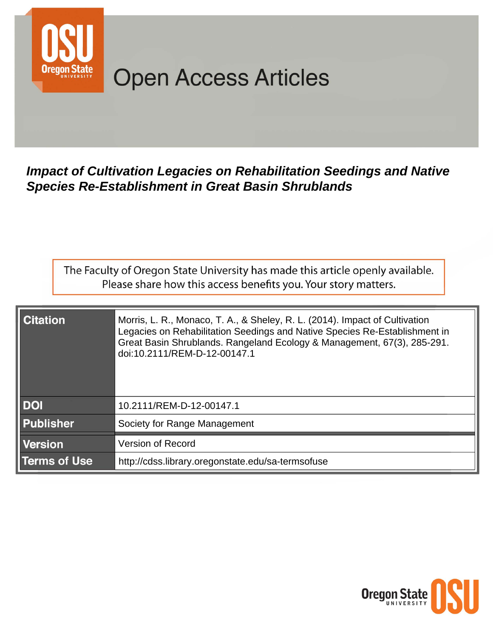

# **Open Access Articles**

## **Impact of Cultivation Legacies on Rehabilitation Seedings and Native Species Re-Establishment in Great Basin Shrublands**

The Faculty of Oregon State University has made this article openly available. Please share how this access benefits you. Your story matters.

| <b>Citation</b>     | Morris, L. R., Monaco, T. A., & Sheley, R. L. (2014). Impact of Cultivation<br>Legacies on Rehabilitation Seedings and Native Species Re-Establishment in<br>Great Basin Shrublands. Rangeland Ecology & Management, 67(3), 285-291.<br>doi:10.2111/REM-D-12-00147.1 |
|---------------------|----------------------------------------------------------------------------------------------------------------------------------------------------------------------------------------------------------------------------------------------------------------------|
| <b>DOI</b>          | 10.2111/REM-D-12-00147.1                                                                                                                                                                                                                                             |
| <b>Publisher</b>    | Society for Range Management                                                                                                                                                                                                                                         |
| <b>Version</b>      | <b>Version of Record</b>                                                                                                                                                                                                                                             |
| <b>Terms of Use</b> | http://cdss.library.oregonstate.edu/sa-termsofuse                                                                                                                                                                                                                    |

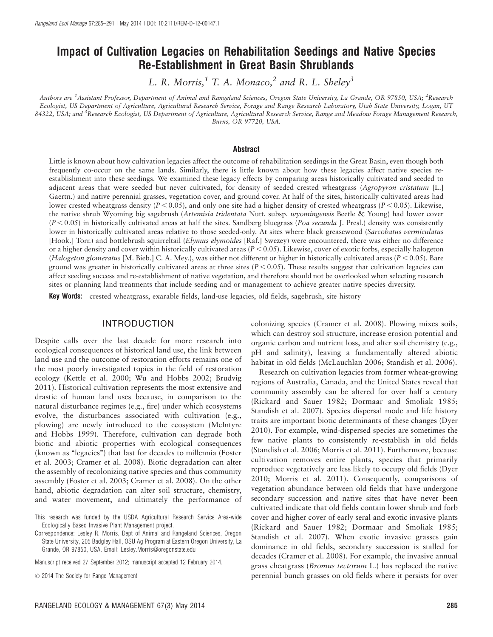### Impact of Cultivation Legacies on Rehabilitation Seedings and Native Species Re-Establishment in Great Basin Shrublands

L. R. Morris,<sup>1</sup> T. A. Monaco,<sup>2</sup> and R. L. Sheley<sup>3</sup>

Authors are <sup>1</sup>Assistant Professor, Department of Animal and Rangeland Sciences, Oregon State University, La Grande, OR 97850, USA; <sup>2</sup>Research Ecologist, US Department of Agriculture, Agricultural Research Service, Forage and Range Research Laboratory, Utah State University, Logan, UT 84322, USA; and <sup>3</sup>Research Ecologist, US Department of Agriculture, Agricultural Research Service, Range and Meadow Forage Management Research, Burns, OR 97720, USA.

#### Abstract

Little is known about how cultivation legacies affect the outcome of rehabilitation seedings in the Great Basin, even though both frequently co-occur on the same lands. Similarly, there is little known about how these legacies affect native species reestablishment into these seedings. We examined these legacy effects by comparing areas historically cultivated and seeded to adjacent areas that were seeded but never cultivated, for density of seeded crested wheatgrass (Agropyron cristatum [L.] Gaertn.) and native perennial grasses, vegetation cover, and ground cover. At half of the sites, historically cultivated areas had lower crested wheatgrass density ( $P < 0.05$ ), and only one site had a higher density of crested wheatgrass ( $P < 0.05$ ). Likewise, the native shrub Wyoming big sagebrush (Artemisia tridentata Nutt. subsp. wyomingensis Beetle & Young) had lower cover  $(P<0.05)$  in historically cultivated areas at half the sites. Sandberg bluegrass (Poa secunda J. Presl.) density was consistently lower in historically cultivated areas relative to those seeded-only. At sites where black greasewood (Sarcobatus vermiculatus [Hook.] Torr.) and bottlebrush squirreltail (Elymus elymoides [Raf.] Swezey) were encountered, there was either no difference or a higher density and cover within historically cultivated areas  $(P < 0.05)$ . Likewise, cover of exotic forbs, especially halogeton (Halogeton glomeratus [M. Bieb.] C. A. Mey.), was either not different or higher in historically cultivated areas ( $P < 0.05$ ). Bare ground was greater in historically cultivated areas at three sites  $(P < 0.05)$ . These results suggest that cultivation legacies can affect seeding success and re-establishment of native vegetation, and therefore should not be overlooked when selecting research sites or planning land treatments that include seeding and or management to achieve greater native species diversity.

Key Words: crested wheatgrass, exarable fields, land-use legacies, old fields, sagebrush, site history

#### INTRODUCTION

Despite calls over the last decade for more research into ecological consequences of historical land use, the link between land use and the outcome of restoration efforts remains one of the most poorly investigated topics in the field of restoration ecology (Kettle et al. 2000; Wu and Hobbs 2002; Brudvig 2011). Historical cultivation represents the most extensive and drastic of human land uses because, in comparison to the natural disturbance regimes (e.g., fire) under which ecosystems evolve, the disturbances associated with cultivation (e.g., plowing) are newly introduced to the ecosystem (McIntyre and Hobbs 1999). Therefore, cultivation can degrade both biotic and abiotic properties with ecological consequences (known as "legacies") that last for decades to millennia (Foster et al. 2003; Cramer et al. 2008). Biotic degradation can alter the assembly of recolonizing native species and thus community assembly (Foster et al. 2003; Cramer et al. 2008). On the other hand, abiotic degradation can alter soil structure, chemistry, and water movement, and ultimately the performance of

colonizing species (Cramer et al. 2008). Plowing mixes soils, which can destroy soil structure, increase erosion potential and organic carbon and nutrient loss, and alter soil chemistry (e.g., pH and salinity), leaving a fundamentally altered abiotic habitat in old fields (McLauchlan 2006; Standish et al. 2006).

Research on cultivation legacies from former wheat-growing regions of Australia, Canada, and the United States reveal that community assembly can be altered for over half a century (Rickard and Sauer 1982; Dormaar and Smoliak 1985; Standish et al. 2007). Species dispersal mode and life history traits are important biotic determinants of these changes (Dyer 2010). For example, wind-dispersed species are sometimes the few native plants to consistently re-establish in old fields (Standish et al. 2006; Morris et al. 2011). Furthermore, because cultivation removes entire plants, species that primarily reproduce vegetatively are less likely to occupy old fields (Dyer 2010; Morris et al. 2011). Consequently, comparisons of vegetation abundance between old fields that have undergone secondary succession and native sites that have never been cultivated indicate that old fields contain lower shrub and forb cover and higher cover of early seral and exotic invasive plants (Rickard and Sauer 1982; Dormaar and Smoliak 1985; Standish et al. 2007). When exotic invasive grasses gain dominance in old fields, secondary succession is stalled for decades (Cramer et al. 2008). For example, the invasive annual grass cheatgrass (Bromus tectorum L.) has replaced the native perennial bunch grasses on old fields where it persists for over

This research was funded by the USDA Agricultural Research Service Area-wide Ecologically Based Invasive Plant Management project.

Correspondence: Lesley R. Morris, Dept of Animal and Rangeland Sciences, Oregon State University, 205 Badgley Hall, OSU Ag Program at Eastern Oregon University, La Grande, OR 97850, USA. Email: Lesley.Morris@oregonstate.edu

Manuscript received 27 September 2012; manuscript accepted 12 February 2014.

 $\odot$  2014 The Society for Range Management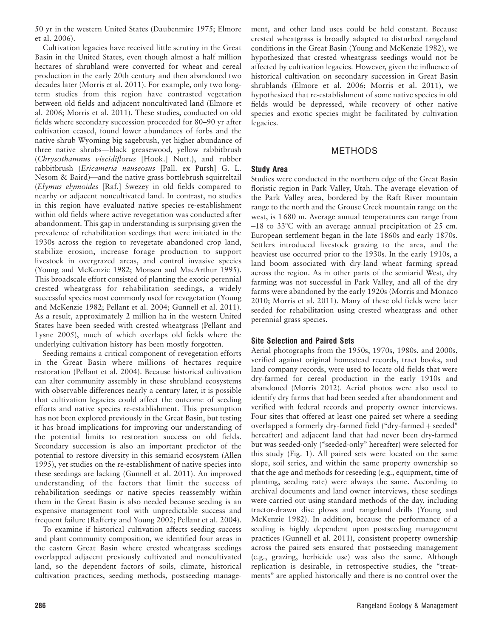50 yr in the western United States (Daubenmire 1975; Elmore et al. 2006).

Cultivation legacies have received little scrutiny in the Great Basin in the United States, even though almost a half million hectares of shrubland were converted for wheat and cereal production in the early 20th century and then abandoned two decades later (Morris et al. 2011). For example, only two longterm studies from this region have contrasted vegetation between old fields and adjacent noncultivated land (Elmore et al. 2006; Morris et al. 2011). These studies, conducted on old fields where secondary succession proceeded for 80–90 yr after cultivation ceased, found lower abundances of forbs and the native shrub Wyoming big sagebrush, yet higher abundance of three native shrubs—black greasewood, yellow rabbitbrush (Chrysothamnus viscidiflorus [Hook.] Nutt.), and rubber rabbitbrush (Ericameria nauseosus [Pall. ex Pursh] G. L. Nesom & Baird)—and the native grass bottlebrush squirreltail (Elymus elymoides [Raf.] Swezey in old fields compared to nearby or adjacent noncultivated land. In contrast, no studies in this region have evaluated native species re-establishment within old fields where active revegetation was conducted after abandonment. This gap in understanding is surprising given the prevalence of rehabilitation seedings that were initiated in the 1930s across the region to revegetate abandoned crop land, stabilize erosion, increase forage production to support livestock in overgrazed areas, and control invasive species (Young and McKenzie 1982; Monsen and MacArthur 1995). This broadscale effort consisted of planting the exotic perennial crested wheatgrass for rehabilitation seedings, a widely successful species most commonly used for revegetation (Young and McKenzie 1982; Pellant et al. 2004; Gunnell et al. 2011). As a result, approximately 2 million ha in the western United States have been seeded with crested wheatgrass (Pellant and Lysne 2005), much of which overlaps old fields where the underlying cultivation history has been mostly forgotten.

Seeding remains a critical component of revegetation efforts in the Great Basin where millions of hectares require restoration (Pellant et al. 2004). Because historical cultivation can alter community assembly in these shrubland ecosystems with observable differences nearly a century later, it is possible that cultivation legacies could affect the outcome of seeding efforts and native species re-establishment. This presumption has not been explored previously in the Great Basin, but testing it has broad implications for improving our understanding of the potential limits to restoration success on old fields. Secondary succession is also an important predictor of the potential to restore diversity in this semiarid ecosystem (Allen 1995), yet studies on the re-establishment of native species into these seedings are lacking (Gunnell et al. 2011). An improved understanding of the factors that limit the success of rehabilitation seedings or native species reassembly within them in the Great Basin is also needed because seeding is an expensive management tool with unpredictable success and frequent failure (Rafferty and Young 2002; Pellant et al. 2004).

To examine if historical cultivation affects seeding success and plant community composition, we identified four areas in the eastern Great Basin where crested wheatgrass seedings overlapped adjacent previously cultivated and noncultivated land, so the dependent factors of soils, climate, historical cultivation practices, seeding methods, postseeding management, and other land uses could be held constant. Because crested wheatgrass is broadly adapted to disturbed rangeland conditions in the Great Basin (Young and McKenzie 1982), we hypothesized that crested wheatgrass seedings would not be affected by cultivation legacies. However, given the influence of historical cultivation on secondary succession in Great Basin shrublands (Elmore et al. 2006; Morris et al. 2011), we hypothesized that re-establishment of some native species in old fields would be depressed, while recovery of other native species and exotic species might be facilitated by cultivation legacies.

#### METHODS

#### Study Area

Studies were conducted in the northern edge of the Great Basin floristic region in Park Valley, Utah. The average elevation of the Park Valley area, bordered by the Raft River mountain range to the north and the Grouse Creek mountain range on the west, is 1 680 m. Average annual temperatures can range from  $-18$  to 33°C with an average annual precipitation of 25 cm. European settlement began in the late 1860s and early 1870s. Settlers introduced livestock grazing to the area, and the heaviest use occurred prior to the 1930s. In the early 1910s, a land boom associated with dry-land wheat farming spread across the region. As in other parts of the semiarid West, dry farming was not successful in Park Valley, and all of the dry farms were abandoned by the early 1920s (Morris and Monaco 2010; Morris et al. 2011). Many of these old fields were later seeded for rehabilitation using crested wheatgrass and other perennial grass species.

#### Site Selection and Paired Sets

Aerial photographs from the 1950s, 1970s, 1980s, and 2000s, verified against original homestead records, tract books, and land company records, were used to locate old fields that were dry-farmed for cereal production in the early 1910s and abandoned (Morris 2012). Aerial photos were also used to identify dry farms that had been seeded after abandonment and verified with federal records and property owner interviews. Four sites that offered at least one paired set where a seeding overlapped a formerly dry-farmed field (" $\frac{dy}{dx}$ -farmed  $+$  seeded" hereafter) and adjacent land that had never been dry-farmed but was seeded-only ("seeded-only" hereafter) were selected for this study (Fig. 1). All paired sets were located on the same slope, soil series, and within the same property ownership so that the age and methods for reseeding (e.g., equipment, time of planting, seeding rate) were always the same. According to archival documents and land owner interviews, these seedings were carried out using standard methods of the day, including tractor-drawn disc plows and rangeland drills (Young and McKenzie 1982). In addition, because the performance of a seeding is highly dependent upon postseeding management practices (Gunnell et al. 2011), consistent property ownership across the paired sets ensured that postseeding management (e.g., grazing, herbicide use) was also the same. Although replication is desirable, in retrospective studies, the "treatments'' are applied historically and there is no control over the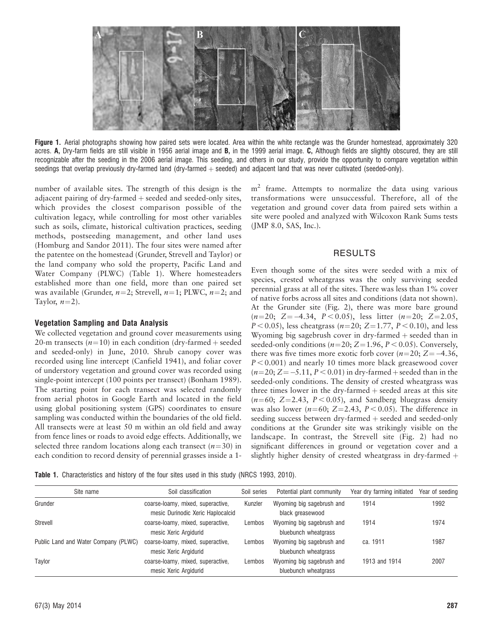

Figure 1. Aerial photographs showing how paired sets were located. Area within the white rectangle was the Grunder homestead, approximately 320 acres. A, Dry-farm fields are still visible in 1956 aerial image and B, in the 1999 aerial image. C, Although fields are slightly obscured, they are still recognizable after the seeding in the 2006 aerial image. This seeding, and others in our study, provide the opportunity to compare vegetation within seedings that overlap previously dry-farmed land (dry-farmed + seeded) and adjacent land that was never cultivated (seeded-only).

number of available sites. The strength of this design is the adjacent pairing of dry-farmed  $+$  seeded and seeded-only sites, which provides the closest comparison possible of the cultivation legacy, while controlling for most other variables such as soils, climate, historical cultivation practices, seeding methods, postseeding management, and other land uses (Homburg and Sandor 2011). The four sites were named after the patentee on the homestead (Grunder, Strevell and Taylor) or the land company who sold the property, Pacific Land and Water Company (PLWC) (Table 1). Where homesteaders established more than one field, more than one paired set was available (Grunder,  $n=2$ ; Strevell,  $n=1$ ; PLWC,  $n=2$ ; and Taylor,  $n=2$ ).

#### Vegetation Sampling and Data Analysis

We collected vegetation and ground cover measurements using 20-m transects  $(n=10)$  in each condition (dry-farmed + seeded and seeded-only) in June, 2010. Shrub canopy cover was recorded using line intercept (Canfield 1941), and foliar cover of understory vegetation and ground cover was recorded using single-point intercept (100 points per transect) (Bonham 1989). The starting point for each transect was selected randomly from aerial photos in Google Earth and located in the field using global positioning system (GPS) coordinates to ensure sampling was conducted within the boundaries of the old field. All transects were at least 50 m within an old field and away from fence lines or roads to avoid edge effects. Additionally, we selected three random locations along each transect  $(n=30)$  in each condition to record density of perennial grasses inside a 1 $m<sup>2</sup>$  frame. Attempts to normalize the data using various transformations were unsuccessful. Therefore, all of the vegetation and ground cover data from paired sets within a site were pooled and analyzed with Wilcoxon Rank Sums tests (JMP 8.0, SAS, Inc.).

#### RESULTS

Even though some of the sites were seeded with a mix of species, crested wheatgrass was the only surviving seeded perennial grass at all of the sites. There was less than 1% cover of native forbs across all sites and conditions (data not shown). At the Grunder site (Fig. 2), there was more bare ground  $(n=20; Z=-4.34, P<0.05)$ , less litter  $(n=20; Z=2.05,$  $P < 0.05$ ), less cheatgrass (n=20; Z=1.77, P < 0.10), and less Wyoming big sagebrush cover in dry-farmed  $+$  seeded than in seeded-only conditions ( $n=20$ ; Z=1.96, P < 0.05). Conversely, there was five times more exotic forb cover  $(n=20; Z=-4.36,$  $P < 0.001$ ) and nearly 10 times more black greasewood cover  $(n=20; Z=-5.11, P<0.01)$  in dry-farmed + seeded than in the seeded-only conditions. The density of crested wheatgrass was three times lower in the dry-farmed  $+$  seeded areas at this site  $(n=60; Z=2.43, P < 0.05)$ , and Sandberg bluegrass density was also lower ( $n=60$ ;  $Z=2.43$ ,  $P < 0.05$ ). The difference in seeding success between  $\text{dry-farmed} + \text{seeded}$  and seeded-only conditions at the Grunder site was strikingly visible on the landscape. In contrast, the Strevell site (Fig. 2) had no significant differences in ground or vegetation cover and a slightly higher density of crested wheatgrass in dry-farmed  $+$ 

Table 1. Characteristics and history of the four sites used in this study (NRCS 1993, 2010).

| Site name                            | Soil classification                                                    | Soil series | Potential plant community                         | Year dry farming initiated | Year of seeding |
|--------------------------------------|------------------------------------------------------------------------|-------------|---------------------------------------------------|----------------------------|-----------------|
| Grunder                              | coarse-loamy, mixed, superactive,<br>mesic Durinodic Xeric Haplocalcid | Kunzler     | Wyoming big sagebrush and<br>black greasewood     | 1914                       | 1992            |
| Strevell                             | coarse-loamy, mixed, superactive,<br>mesic Xeric Argidurid             | Lembos      | Wyoming big sagebrush and<br>bluebunch wheatgrass | 1914                       | 1974            |
| Public Land and Water Company (PLWC) | coarse-loamy, mixed, superactive,<br>mesic Xeric Argidurid             | Lembos      | Wyoming big sagebrush and<br>bluebunch wheatgrass | ca. 1911                   | 1987            |
| Taylor                               | coarse-loamy, mixed, superactive,<br>mesic Xeric Argidurid             | Lembos      | Wyoming big sagebrush and<br>bluebunch wheatgrass | 1913 and 1914              | 2007            |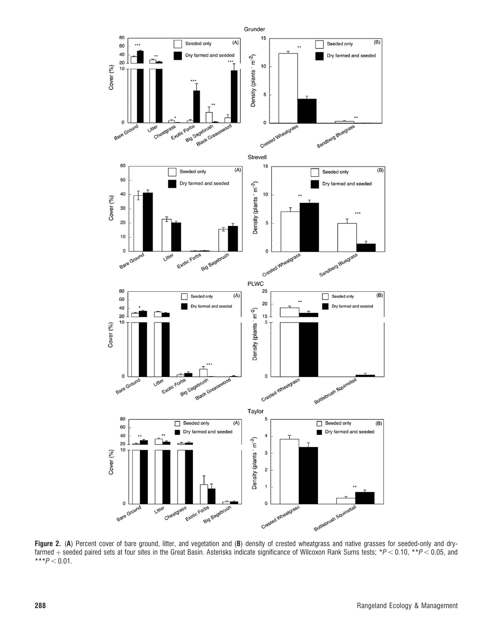

Figure 2. (A) Percent cover of bare ground, litter, and vegetation and (B) density of crested wheatgrass and native grasses for seeded-only and dryfarmed  $+$  seeded paired sets at four sites in the Great Basin. Asterisks indicate significance of Wilcoxon Rank Sums tests; \*P < 0.10, \*\*P < 0.05, and  $***P < 0.01$ .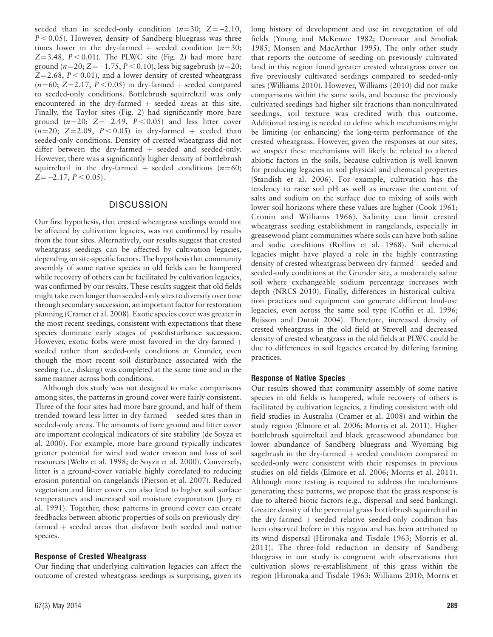seeded than in seeded-only condition  $(n=30; Z=-2.10,$  $P < 0.05$ ). However, density of Sandberg bluegrass was three times lower in the dry-farmed + seeded condition ( $n=30$ ;  $Z=3.48$ ,  $P < 0.01$ ). The PLWC site (Fig. 2) had more bare ground (n=20; Z=-1.75, P < 0.10), less big sagebrush (n=20;  $Z=2.68$ ,  $P < 0.01$ ), and a lower density of crested wheatgrass  $(n=60; Z=2.17, P < 0.05)$  in dry-farmed + seeded compared to seeded-only conditions. Bottlebrush squirreltail was only encountered in the dry-farmed  $+$  seeded areas at this site. Finally, the Taylor sites (Fig. 2) had significantly more bare ground  $(n=20; Z=-2.49, P<0.05)$  and less litter cover  $(n=20; Z=2.09, P<0.05)$  in dry-farmed + seeded than seeded-only conditions. Density of crested wheatgrass did not differ between the dry-farmed  $+$  seeded and seeded-only. However, there was a significantly higher density of bottlebrush squirreltail in the dry-farmed + seeded conditions ( $n=60;$  $Z = -2.17, P < 0.05$ ).

#### **DISCUSSION**

Our first hypothesis, that crested wheatgrass seedings would not be affected by cultivation legacies, was not confirmed by results from the four sites. Alternatively, our results suggest that crested wheatgrass seedings can be affected by cultivation legacies, depending on site-specific factors. The hypothesis that community assembly of some native species in old fields can be hampered while recovery of others can be facilitated by cultivation legacies, was confirmed by our results. These results suggest that old fields might take evenlonger than seeded-only sites to diversify over time through secondary succession, an important factor for restoration planning (Cramer et al. 2008). Exotic species cover was greater in the most recent seedings, consistent with expectations that these species dominate early stages of postdisturbance succession. However, exotic forbs were most favored in the dry-farmed  $+$ seeded rather than seeded-only conditions at Grunder, even though the most recent soil disturbance associated with the seeding (i.e., disking) was completed at the same time and in the same manner across both conditions.

Although this study was not designed to make comparisons among sites, the patterns in ground cover were fairly consistent. Three of the four sites had more bare ground, and half of them trended toward less litter in dry-farmed  $+$  seeded sites than in seeded-only areas. The amounts of bare ground and litter cover are important ecological indicators of site stability (de Soyza et al. 2000). For example, more bare ground typically indicates greater potential for wind and water erosion and loss of soil resources (Weltz et al. 1998; de Soyza et al. 2000). Conversely, litter is a ground-cover variable highly correlated to reducing erosion potential on rangelands (Pierson et al. 2007). Reduced vegetation and litter cover can also lead to higher soil surface temperatures and increased soil moisture evaporation (Jury et al. 1991). Together, these patterns in ground cover can create feedbacks between abiotic properties of soils on previously dryfarmed  $+$  seeded areas that disfavor both seeded and native species.

#### Response of Crested Wheatgrass

Our finding that underlying cultivation legacies can affect the outcome of crested wheatgrass seedings is surprising, given its long history of development and use in revegetation of old fields (Young and McKenzie 1982; Dormaar and Smoliak 1985; Monsen and MacArthur 1995). The only other study that reports the outcome of seeding on previously cultivated land in this region found greater crested wheatgrass cover on five previously cultivated seedings compared to seeded-only sites (Williams 2010). However, Williams (2010) did not make comparisons within the same soils, and because the previously cultivated seedings had higher silt fractions than noncultivated seedings, soil texture was credited with this outcome. Additional testing is needed to define which mechanisms might be limiting (or enhancing) the long-term performance of the crested wheatgrass. However, given the responses at our sites, we suspect these mechanisms will likely be related to altered abiotic factors in the soils, because cultivation is well known for producing legacies in soil physical and chemical properties (Standish et al. 2006). For example, cultivation has the tendency to raise soil pH as well as increase the content of salts and sodium on the surface due to mixing of soils with lower soil horizons where these values are higher (Cook 1961; Cronin and Williams 1966). Salinity can limit crested wheatgrass seeding establishment in rangelands, especially in greasewood plant communities where soils can have both saline and sodic conditions (Rollins et al. 1968). Soil chemical legacies might have played a role in the highly contrasting density of crested wheatgrass between dry-farmed + seeded and seeded-only conditions at the Grunder site, a moderately saline soil where exchangeable sodium percentage increases with depth (NRCS 2010). Finally, differences in historical cultivation practices and equipment can generate different land-use legacies, even across the same soil type (Coffin et al. 1996; Buisson and Dutoit 2004). Therefore, increased density of crested wheatgrass in the old field at Strevell and decreased density of crested wheatgrass in the old fields at PLWC could be due to differences in soil legacies created by differing farming practices.

#### Response of Native Species

Our results showed that community assembly of some native species in old fields is hampered, while recovery of others is facilitated by cultivation legacies, a finding consistent with old field studies in Australia (Cramer et al. 2008) and within the study region (Elmore et al. 2006; Morris et al. 2011). Higher bottlebrush squirreltail and black greasewood abundance but lower abundance of Sandberg bluegrass and Wyoming big sagebrush in the dry-farmed  $+$  seeded condition compared to seeded-only were consistent with their responses in previous studies on old fields (Elmore et al. 2006; Morris et al. 2011). Although more testing is required to address the mechanisms generating these patterns, we propose that the grass response is due to altered biotic factors (e.g., dispersal and seed banking). Greater density of the perennial grass bottlebrush squirreltail in the dry-farmed  $+$  seeded relative seeded-only condition has been observed before in this region and has been attributed to its wind dispersal (Hironaka and Tisdale 1963; Morris et al. 2011). The three-fold reduction in density of Sandberg bluegrass in our study is congruent with observations that cultivation slows re-establishment of this grass within the region (Hironaka and Tisdale 1963; Williams 2010; Morris et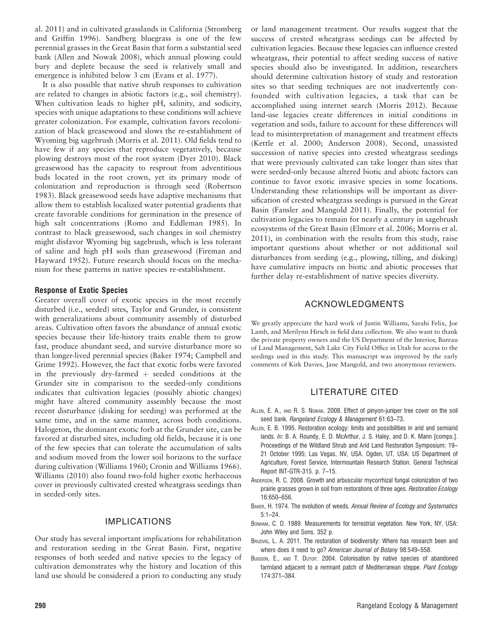al. 2011) and in cultivated grasslands in California (Stromberg and Griffin 1996). Sandberg bluegrass is one of the few perennial grasses in the Great Basin that form a substantial seed bank (Allen and Nowak 2008), which annual plowing could bury and deplete because the seed is relatively small and emergence is inhibited below 3 cm (Evans et al. 1977).

It is also possible that native shrub responses to cultivation are related to changes in abiotic factors (e.g., soil chemistry). When cultivation leads to higher pH, salinity, and sodicity, species with unique adaptations to these conditions will achieve greater colonization. For example, cultivation favors recolonization of black greasewood and slows the re-establishment of Wyoming big sagebrush (Morris et al. 2011). Old fields tend to have few if any species that reproduce vegetatively, because plowing destroys most of the root system (Dyer 2010). Black greasewood has the capacity to resprout from adventitious buds located in the root crown, yet its primary mode of colonization and reproduction is through seed (Robertson 1983). Black greasewood seeds have adaptive mechanisms that allow them to establish localized water potential gradients that create favorable conditions for germination in the presence of high salt concentrations (Romo and Eddleman 1985). In contrast to black greasewood, such changes in soil chemistry might disfavor Wyoming big sagebrush, which is less tolerant of saline and high pH soils than greasewood (Fireman and Hayward 1952). Future research should focus on the mechanism for these patterns in native species re-establishment.

#### Response of Exotic Species

Greater overall cover of exotic species in the most recently disturbed (i.e., seeded) sites, Taylor and Grunder, is consistent with generalizations about community assembly of disturbed areas. Cultivation often favors the abundance of annual exotic species because their life-history traits enable them to grow fast, produce abundant seed, and survive disturbance more so than longer-lived perennial species (Baker 1974; Campbell and Grime 1992). However, the fact that exotic forbs were favored in the previously dry-farmed  $+$  seeded conditions at the Grunder site in comparison to the seeded-only conditions indicates that cultivation legacies (possibly abiotic changes) might have altered community assembly because the most recent disturbance (disking for seeding) was performed at the same time, and in the same manner, across both conditions. Halogeton, the dominant exotic forb at the Grunder site, can be favored at disturbed sites, including old fields, because it is one of the few species that can tolerate the accumulation of salts and sodium moved from the lower soil horizons to the surface during cultivation (Williams 1960; Cronin and Williams 1966). Williams (2010) also found two-fold higher exotic herbaceous cover in previously cultivated crested wheatgrass seedings than in seeded-only sites.

#### IMPLICATIONS

Our study has several important implications for rehabilitation and restoration seeding in the Great Basin. First, negative responses of both seeded and native species to the legacy of cultivation demonstrates why the history and location of this land use should be considered a priori to conducting any study or land management treatment. Our results suggest that the success of crested wheatgrass seedings can be affected by cultivation legacies. Because these legacies can influence crested wheatgrass, their potential to affect seeding success of native species should also be investigated. In addition, researchers should determine cultivation history of study and restoration sites so that seeding techniques are not inadvertently confounded with cultivation legacies, a task that can be accomplished using internet search (Morris 2012). Because land-use legacies create differences in initial conditions in vegetation and soils, failure to account for these differences will lead to misinterpretation of management and treatment effects (Kettle et al. 2000; Anderson 2008). Second, unassisted succession of native species into crested wheatgrass seedings that were previously cultivated can take longer than sites that were seeded-only because altered biotic and abiotc factors can continue to favor exotic invasive species in some locations. Understanding these relationships will be important as diversification of crested wheatgrass seedings is pursued in the Great Basin (Fansler and Mangold 2011). Finally, the potential for cultivation legacies to remain for nearly a century in sagebrush ecosystems of the Great Basin (Elmore et al. 2006; Morris et al. 2011), in combination with the results from this study, raise important questions about whether or not additional soil disturbances from seeding (e.g., plowing, tilling, and disking) have cumulative impacts on biotic and abiotic processes that further delay re-establishment of native species diversity.

#### ACKNOWLEDGMENTS

We greatly appreciate the hard work of Justin Williams, Sarahi Felix, Joe Lamb, and Merilynn Hirsch in field data collection. We also want to thank the private property owners and the US Department of the Interior, Bureau of Land Management, Salt Lake City Field Office in Utah for access to the seedings used in this study. This manuscript was improved by the early comments of Kirk Davies, Jane Mangold, and two anonymous reviewers.

#### LITERATURE CITED

- ALLEN, E. A., AND R. S. NOWAK. 2008. Effect of pinyon-juniper tree cover on the soil seed bank. Rangeland Ecology & Management 61:63-73.
- ALLEN, E. B. 1995. Restoration ecology: limits and possibilities in arid and semiarid lands. In: B. A. Roundy, E. D. McArthur, J. S. Haley, and D. K. Mann [comps.]. Proceedings of the Wildland Shrub and Arid Land Restoration Symposium; 19– 21 October 1995; Las Vegas, NV, USA. Ogden, UT, USA: US Department of Agriculture, Forest Service, Intermountain Research Station. General Technical Report INT-GTR-315. p. 7–15.
- ANDERSON, R. C. 2008. Growth and arbuscular mycorrhizal fungal colonization of two prairie grasses grown in soil from restorations of three ages. Restoration Ecology 16:650–656.
- BAKER, H. 1974. The evolution of weeds. Annual Review of Ecology and Systematics 5:1–24.
- BONHAM, C. D. 1989. Measurements for terrestrial vegetation. New York, NY, USA: John Wiley and Sons. 352 p.
- BRUDVIG, L. A. 2011. The restoration of biodiversity: Where has research been and where does it need to go? American Journal of Botany 98:549–558.
- BUISSON, E., AND T. DUTOIT. 2004. Colonisation by native species of abandoned farmland adjacent to a remnant patch of Mediterranean steppe. Plant Ecology 174:371–384.